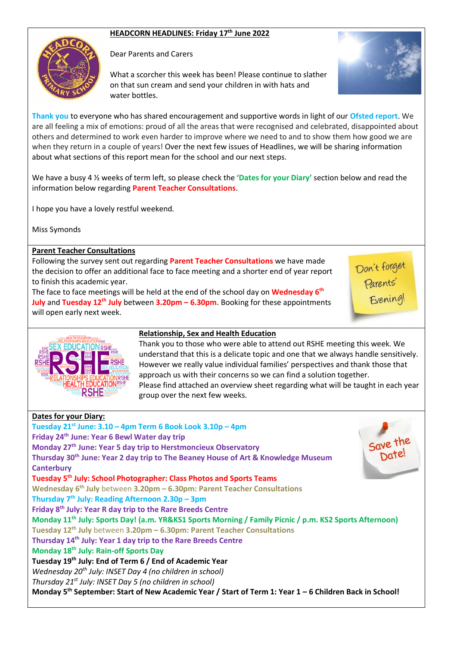# **HEADCORN HEADLINES: Friday 17 th June 2022**



Dear Parents and Carers

What a scorcher this week has been! Please continue to slather on that sun cream and send your children in with hats and water bottles.



**Thank you** to everyone who has shared encouragement and supportive words in light of our **Ofsted report**. We are all feeling a mix of emotions: proud of all the areas that were recognised and celebrated, disappointed about others and determined to work even harder to improve where we need to and to show them how good we are when they return in a couple of years! Over the next few issues of Headlines, we will be sharing information about what sections of this report mean for the school and our next steps.

We have a busy 4 ½ weeks of term left, so please check the **'Dates for your Diary'** section below and read the information below regarding **Parent Teacher Consultations**.

I hope you have a lovely restful weekend.

Miss Symonds

## **Parent Teacher Consultations**

Following the survey sent out regarding **Parent Teacher Consultations** we have made the decision to offer an additional face to face meeting and a shorter end of year report to finish this academic year.

The face to face meetings will be held at the end of the school day on **Wednesday 6th July** and **Tuesday 12th July** between **3.20pm – 6.30pm**. Booking for these appointments will open early next week.

Don't forget<br>Parents'<br>Evening!



## **Relationship, Sex and Health Education**

Thank you to those who were able to attend out RSHE meeting this week. We understand that this is a delicate topic and one that we always handle sensitively. However we really value individual families' perspectives and thank those that approach us with their concerns so we can find a solution together. Please find attached an overview sheet regarding what will be taught in each year group over the next few weeks.

| <b>Dates for your Diary:</b>                                                                                        |          |
|---------------------------------------------------------------------------------------------------------------------|----------|
| Tuesday 21 <sup>st</sup> June: 3.10 - 4pm Term 6 Book Look 3.10p - 4pm                                              |          |
| Friday 24 <sup>th</sup> June: Year 6 Bewl Water day trip                                                            |          |
| Monday 27 <sup>th</sup> June: Year 5 day trip to Herstmoncieux Observatory                                          | Save the |
| Thursday 30 <sup>th</sup> June: Year 2 day trip to The Beaney House of Art & Knowledge Museum                       |          |
| <b>Canterbury</b>                                                                                                   |          |
| Tuesday 5 <sup>th</sup> July: School Photographer: Class Photos and Sports Teams                                    |          |
| Wednesday 6 <sup>th</sup> July between 3.20pm - 6.30pm: Parent Teacher Consultations                                |          |
| Thursday 7 <sup>th</sup> July: Reading Afternoon 2.30p - 3pm                                                        |          |
| Friday 8 <sup>th</sup> July: Year R day trip to the Rare Breeds Centre                                              |          |
| Monday 11 <sup>th</sup> July: Sports Day! (a.m. YR&KS1 Sports Morning / Family Picnic / p.m. KS2 Sports Afternoon)  |          |
| Tuesday 12 <sup>th</sup> July between 3.20pm - 6.30pm: Parent Teacher Consultations                                 |          |
| Thursday 14 <sup>th</sup> July: Year 1 day trip to the Rare Breeds Centre                                           |          |
| Monday 18 <sup>th</sup> July: Rain-off Sports Day                                                                   |          |
| Tuesday 19 <sup>th</sup> July: End of Term 6 / End of Academic Year                                                 |          |
| Wednesday 20 <sup>th</sup> July: INSET Day 4 (no children in school)                                                |          |
| Thursday 21 <sup>st</sup> July: INSET Day 5 (no children in school)                                                 |          |
| Monday 5 <sup>th</sup> September: Start of New Academic Year / Start of Term 1: Year 1 - 6 Children Back in School! |          |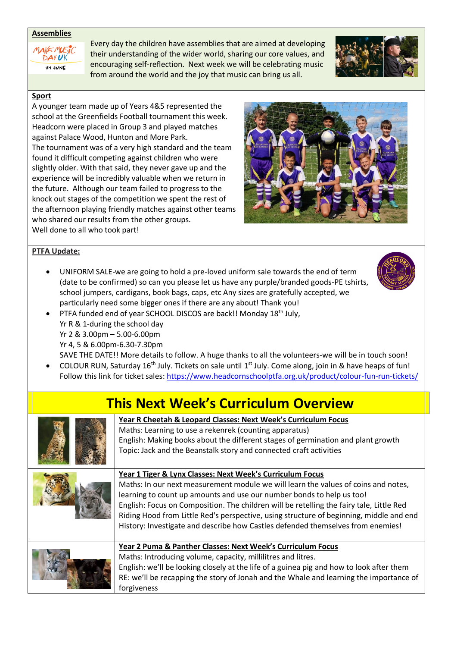#### **Assemblies**



Every day the children have assemblies that are aimed at developing their understanding of the wider world, sharing our core values, and encouraging self-reflection. Next week we will be celebrating music from around the world and the joy that music can bring us all.



## **Sport**

A younger team made up of Years 4&5 represented the school at the Greenfields Football tournament this week. Headcorn were placed in Group 3 and played matches against Palace Wood, Hunton and More Park. The tournament was of a very high standard and the team found it difficult competing against children who were slightly older. With that said, they never gave up and the experience will be incredibly valuable when we return in the future. Although our team failed to progress to the knock out stages of the competition we spent the rest of the afternoon playing friendly matches against other teams who shared our results from the other groups. Well done to all who took part!



## **PTFA Update:**

• UNIFORM SALE-we are going to hold a pre-loved uniform sale towards the end of term (date to be confirmed) so can you please let us have any purple/branded goods-PE tshirts, school jumpers, cardigans, book bags, caps, etc Any sizes are gratefully accepted, we particularly need some bigger ones if there are any about! Thank you!



PTFA funded end of year SCHOOL DISCOS are back!! Monday 18<sup>th</sup> July, Yr R & 1-during the school day Yr 2 & 3.00pm – 5.00-6.00pm Yr 4, 5 & 6.00pm-6.30-7.30pm

SAVE THE DATE!! More details to follow. A huge thanks to all the volunteers-we will be in touch soon!

• COLOUR RUN, Saturday 16th July. Tickets on sale until 1st July. Come along, join in & have heaps of fun! Follow this link for ticket sales:<https://www.headcornschoolptfa.org.uk/product/colour-fun-run-tickets/>

# **This Next Week's Curriculum Overview**